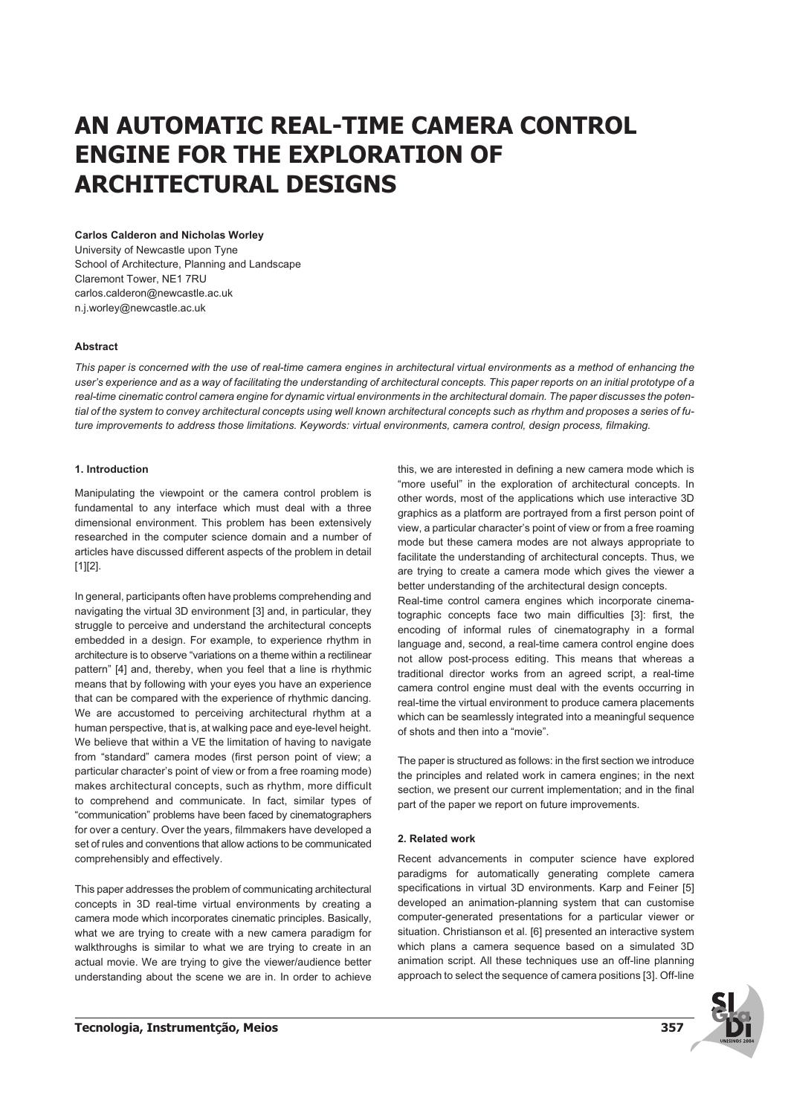# **AN AUTOMATIC REAL-TIME CAMERA CONTROL ENGINE FOR THE EXPLORATION OF ARCHITECTURAL DESIGNS**

#### **Carlos Calderon and Nicholas Worley**

University of Newcastle upon Tyne School of Architecture, Planning and Landscape Claremont Tower, NE1 7RU carlos.calderon@newcastle.ac.uk n.j.worley@newcastle.ac.uk

## **Abstract**

*This paper is concerned with the use of real-time camera engines in architectural virtual environments as a method of enhancing the user's experience and as a way of facilitating the understanding of architectural concepts. This paper reports on an initial prototype of a real-time cinematic control camera engine for dynamic virtual environments in the architectural domain. The paper discusses the potential of the system to convey architectural concepts using well known architectural concepts such as rhythm and proposes a series of future improvements to address those limitations. Keywords: virtual environments, camera control, design process, filmaking.*

## **1. Introduction**

Manipulating the viewpoint or the camera control problem is fundamental to any interface which must deal with a three dimensional environment. This problem has been extensively researched in the computer science domain and a number of articles have discussed different aspects of the problem in detail [1][2].

In general, participants often have problems comprehending and navigating the virtual 3D environment [3] and, in particular, they struggle to perceive and understand the architectural concepts embedded in a design. For example, to experience rhythm in architecture is to observe "variations on a theme within a rectilinear pattern" [4] and, thereby, when you feel that a line is rhythmic means that by following with your eyes you have an experience that can be compared with the experience of rhythmic dancing. We are accustomed to perceiving architectural rhythm at a human perspective, that is, at walking pace and eye-level height. We believe that within a VE the limitation of having to navigate from "standard" camera modes (first person point of view; a particular character's point of view or from a free roaming mode) makes architectural concepts, such as rhythm, more difficult to comprehend and communicate. In fact, similar types of "communication" problems have been faced by cinematographers for over a century. Over the years, filmmakers have developed a set of rules and conventions that allow actions to be communicated comprehensibly and effectively.

This paper addresses the problem of communicating architectural concepts in 3D real-time virtual environments by creating a camera mode which incorporates cinematic principles. Basically, what we are trying to create with a new camera paradigm for walkthroughs is similar to what we are trying to create in an actual movie. We are trying to give the viewer/audience better understanding about the scene we are in. In order to achieve "more useful" in the exploration of architectural concepts. In other words, most of the applications which use interactive 3D graphics as a platform are portrayed from a first person point of view, a particular character's point of view or from a free roaming mode but these camera modes are not always appropriate to facilitate the understanding of architectural concepts. Thus, we are trying to create a camera mode which gives the viewer a better understanding of the architectural design concepts. Real-time control camera engines which incorporate cinema-

this, we are interested in defining a new camera mode which is

tographic concepts face two main difficulties [3]: first, the encoding of informal rules of cinematography in a formal language and, second, a real-time camera control engine does not allow post-process editing. This means that whereas a traditional director works from an agreed script, a real-time camera control engine must deal with the events occurring in real-time the virtual environment to produce camera placements which can be seamlessly integrated into a meaningful sequence of shots and then into a "movie".

The paper is structured as follows: in the first section we introduce the principles and related work in camera engines; in the next section, we present our current implementation; and in the final part of the paper we report on future improvements.

#### **2. Related work**

Recent advancements in computer science have explored paradigms for automatically generating complete camera specifications in virtual 3D environments. Karp and Feiner [5] developed an animation-planning system that can customise computer-generated presentations for a particular viewer or situation. Christianson et al. [6] presented an interactive system which plans a camera sequence based on a simulated 3D animation script. All these techniques use an off-line planning approach to select the sequence of camera positions [3]. Off-line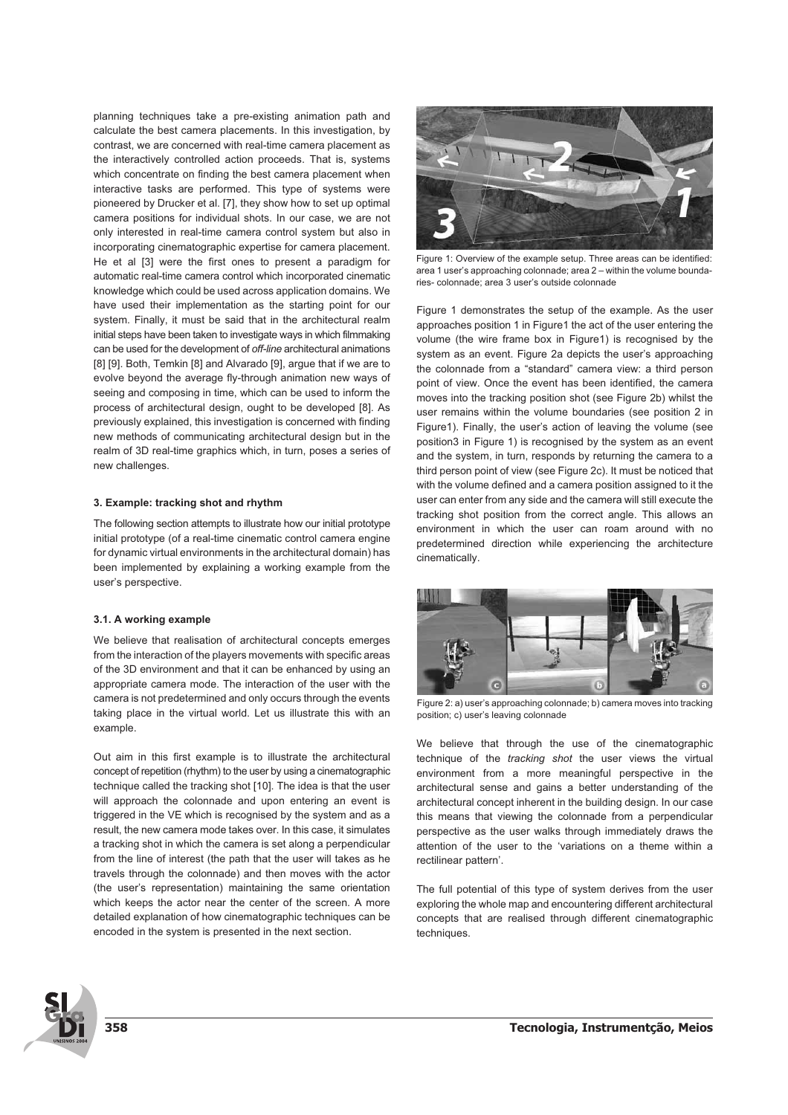planning techniques take a pre-existing animation path and calculate the best camera placements. In this investigation, by contrast, we are concerned with real-time camera placement as the interactively controlled action proceeds. That is, systems which concentrate on finding the best camera placement when interactive tasks are performed. This type of systems were pioneered by Drucker et al. [7], they show how to set up optimal camera positions for individual shots. In our case, we are not only interested in real-time camera control system but also in incorporating cinematographic expertise for camera placement. He et al [3] were the first ones to present a paradigm for automatic real-time camera control which incorporated cinematic knowledge which could be used across application domains. We have used their implementation as the starting point for our system. Finally, it must be said that in the architectural realm initial steps have been taken to investigate ways in which filmmaking can be used for the development of *off-line* architectural animations [8] [9]. Both, Temkin [8] and Alvarado [9], argue that if we are to evolve beyond the average fly-through animation new ways of seeing and composing in time, which can be used to inform the process of architectural design, ought to be developed [8]. As previously explained, this investigation is concerned with finding new methods of communicating architectural design but in the realm of 3D real-time graphics which, in turn, poses a series of new challenges.

#### **3. Example: tracking shot and rhythm**

The following section attempts to illustrate how our initial prototype initial prototype (of a real-time cinematic control camera engine for dynamic virtual environments in the architectural domain) has been implemented by explaining a working example from the user's perspective.

#### **3.1. A working example**

We believe that realisation of architectural concepts emerges from the interaction of the players movements with specific areas of the 3D environment and that it can be enhanced by using an appropriate camera mode. The interaction of the user with the camera is not predetermined and only occurs through the events taking place in the virtual world. Let us illustrate this with an example.

Out aim in this first example is to illustrate the architectural concept of repetition (rhythm) to the user by using a cinematographic technique called the tracking shot [10]. The idea is that the user will approach the colonnade and upon entering an event is triggered in the VE which is recognised by the system and as a result, the new camera mode takes over. In this case, it simulates a tracking shot in which the camera is set along a perpendicular from the line of interest (the path that the user will takes as he travels through the colonnade) and then moves with the actor (the user's representation) maintaining the same orientation which keeps the actor near the center of the screen. A more detailed explanation of how cinematographic techniques can be encoded in the system is presented in the next section.



Figure 1: Overview of the example setup. Three areas can be identified: area 1 user's approaching colonnade; area 2 – within the volume boundaries- colonnade; area 3 user's outside colonnade

Figure 1 demonstrates the setup of the example. As the user approaches position 1 in Figure1 the act of the user entering the volume (the wire frame box in Figure1) is recognised by the system as an event. Figure 2a depicts the user's approaching the colonnade from a "standard" camera view: a third person point of view. Once the event has been identified, the camera moves into the tracking position shot (see Figure 2b) whilst the user remains within the volume boundaries (see position 2 in Figure1). Finally, the user's action of leaving the volume (see position3 in Figure 1) is recognised by the system as an event and the system, in turn, responds by returning the camera to a third person point of view (see Figure 2c). It must be noticed that with the volume defined and a camera position assigned to it the user can enter from any side and the camera will still execute the tracking shot position from the correct angle. This allows an environment in which the user can roam around with no predetermined direction while experiencing the architecture cinematically.



Figure 2: a) user's approaching colonnade; b) camera moves into tracking position; c) user's leaving colonnade

We believe that through the use of the cinematographic technique of the *tracking shot* the user views the virtual environment from a more meaningful perspective in the architectural sense and gains a better understanding of the architectural concept inherent in the building design. In our case this means that viewing the colonnade from a perpendicular perspective as the user walks through immediately draws the attention of the user to the 'variations on a theme within a rectilinear pattern'.

The full potential of this type of system derives from the user exploring the whole map and encountering different architectural concepts that are realised through different cinematographic techniques.